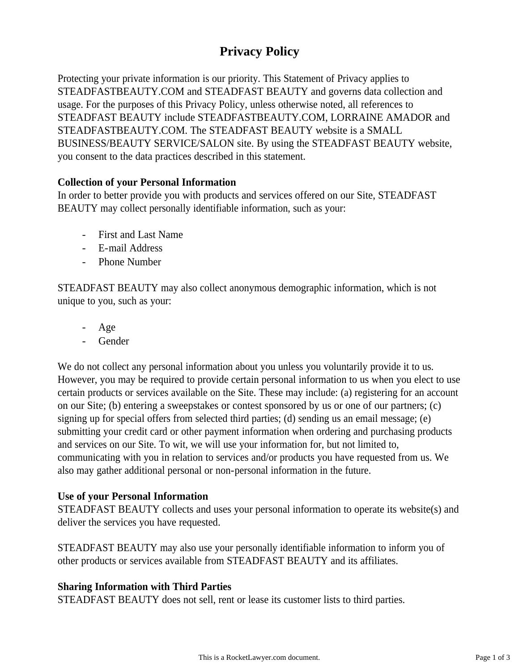# **Privacy Policy**

Protecting your private information is our priority. This Statement of Privacy applies to STEADFASTBEAUTY.COM and STEADFAST BEAUTY and governs data collection and usage. For the purposes of this Privacy Policy, unless otherwise noted, all references to STEADFAST BEAUTY include STEADFASTBEAUTY.COM, LORRAINE AMADOR and STEADFASTBEAUTY.COM. The STEADFAST BEAUTY website is a SMALL BUSINESS/BEAUTY SERVICE/SALON site. By using the STEADFAST BEAUTY website, you consent to the data practices described in this statement.

## **Collection of your Personal Information**

In order to better provide you with products and services offered on our Site, STEADFAST BEAUTY may collect personally identifiable information, such as your:

- First and Last Name
- E-mail Address
- Phone Number

STEADFAST BEAUTY may also collect anonymous demographic information, which is not unique to you, such as your:

- Age
- Gender

We do not collect any personal information about you unless you voluntarily provide it to us. However, you may be required to provide certain personal information to us when you elect to use certain products or services available on the Site. These may include: (a) registering for an account on our Site; (b) entering a sweepstakes or contest sponsored by us or one of our partners; (c) signing up for special offers from selected third parties; (d) sending us an email message; (e) submitting your credit card or other payment information when ordering and purchasing products and services on our Site. To wit, we will use your information for, but not limited to, communicating with you in relation to services and/or products you have requested from us. We also may gather additional personal or non-personal information in the future.

# **Use of your Personal Information**

STEADFAST BEAUTY collects and uses your personal information to operate its website(s) and deliver the services you have requested.

STEADFAST BEAUTY may also use your personally identifiable information to inform you of other products or services available from STEADFAST BEAUTY and its affiliates.

#### **Sharing Information with Third Parties**

STEADFAST BEAUTY does not sell, rent or lease its customer lists to third parties.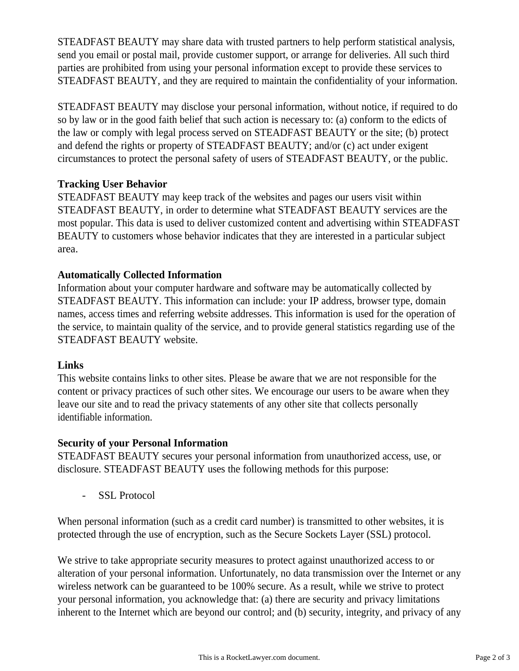STEADFAST BEAUTY may share data with trusted partners to help perform statistical analysis, send you email or postal mail, provide customer support, or arrange for deliveries. All such third parties are prohibited from using your personal information except to provide these services to STEADFAST BEAUTY, and they are required to maintain the confidentiality of your information.

STEADFAST BEAUTY may disclose your personal information, without notice, if required to do so by law or in the good faith belief that such action is necessary to: (a) conform to the edicts of the law or comply with legal process served on STEADFAST BEAUTY or the site; (b) protect and defend the rights or property of STEADFAST BEAUTY; and/or (c) act under exigent circumstances to protect the personal safety of users of STEADFAST BEAUTY, or the public.

# **Tracking User Behavior**

STEADFAST BEAUTY may keep track of the websites and pages our users visit within STEADFAST BEAUTY, in order to determine what STEADFAST BEAUTY services are the most popular. This data is used to deliver customized content and advertising within STEADFAST BEAUTY to customers whose behavior indicates that they are interested in a particular subject area.

## **Automatically Collected Information**

Information about your computer hardware and software may be automatically collected by STEADFAST BEAUTY. This information can include: your IP address, browser type, domain names, access times and referring website addresses. This information is used for the operation of the service, to maintain quality of the service, and to provide general statistics regarding use of the STEADFAST BEAUTY website.

#### **Links**

This website contains links to other sites. Please be aware that we are not responsible for the content or privacy practices of such other sites. We encourage our users to be aware when they leave our site and to read the privacy statements of any other site that collects personally identifiable information.

#### **Security of your Personal Information**

STEADFAST BEAUTY secures your personal information from unauthorized access, use, or disclosure. STEADFAST BEAUTY uses the following methods for this purpose:

SSL Protocol

When personal information (such as a credit card number) is transmitted to other websites, it is protected through the use of encryption, such as the Secure Sockets Layer (SSL) protocol.

We strive to take appropriate security measures to protect against unauthorized access to or alteration of your personal information. Unfortunately, no data transmission over the Internet or any wireless network can be guaranteed to be 100% secure. As a result, while we strive to protect your personal information, you acknowledge that: (a) there are security and privacy limitations inherent to the Internet which are beyond our control; and (b) security, integrity, and privacy of any